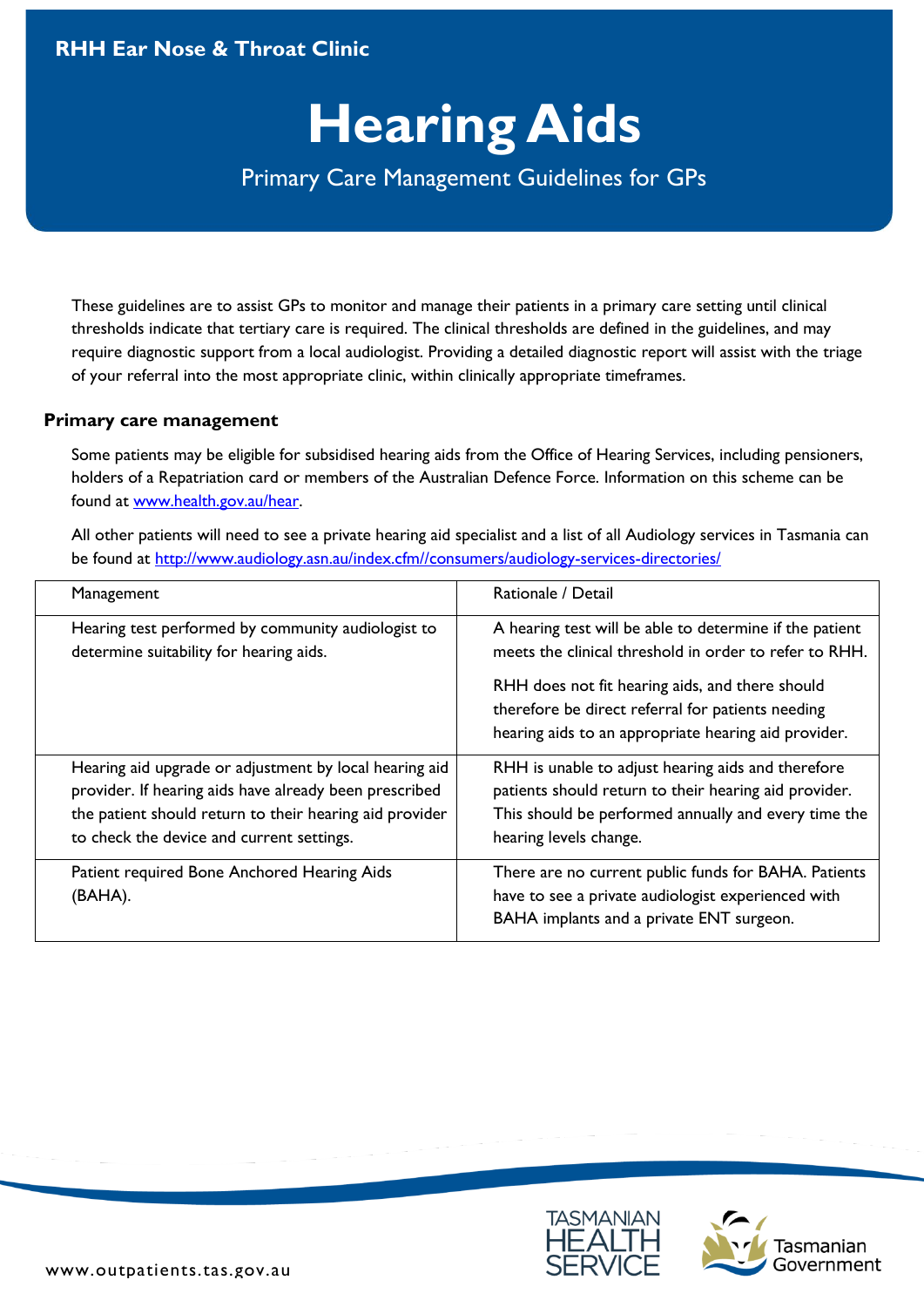### **RHH Ear Nose & Throat Clinic**

# **Hearing Aids**

## Primary Care Management Guidelines for GPs

These guidelines are to assist GPs to monitor and manage their patients in a primary care setting until clinical thresholds indicate that tertiary care is required. The clinical thresholds are defined in the guidelines, and may require diagnostic support from a local audiologist. Providing a detailed diagnostic report will assist with the triage of your referral into the most appropriate clinic, within clinically appropriate timeframes.

#### **Primary care management**

Some patients may be eligible for subsidised hearing aids from the Office of Hearing Services, including pensioners, holders of a Repatriation card or members of the Australian Defence Force. Information on this scheme can be found at [www.health.gov.au/hear.](http://www.health.gov.au/hear)

All other patients will need to see a private hearing aid specialist and a list of all Audiology services in Tasmania can be found at [http://www.audiology.asn.au/index.cfm//consumers/audiology-services-directories/](http://www.audiology.asn.au/index.cfm/consumers/audiology-services-directories/)

| Management                                                                                                                                                                                                               | Rationale / Detail                                                                                                                                                                            |
|--------------------------------------------------------------------------------------------------------------------------------------------------------------------------------------------------------------------------|-----------------------------------------------------------------------------------------------------------------------------------------------------------------------------------------------|
| Hearing test performed by community audiologist to<br>determine suitability for hearing aids.                                                                                                                            | A hearing test will be able to determine if the patient<br>meets the clinical threshold in order to refer to RHH.                                                                             |
|                                                                                                                                                                                                                          | RHH does not fit hearing aids, and there should<br>therefore be direct referral for patients needing<br>hearing aids to an appropriate hearing aid provider.                                  |
| Hearing aid upgrade or adjustment by local hearing aid<br>provider. If hearing aids have already been prescribed<br>the patient should return to their hearing aid provider<br>to check the device and current settings. | RHH is unable to adjust hearing aids and therefore<br>patients should return to their hearing aid provider.<br>This should be performed annually and every time the<br>hearing levels change. |
| Patient required Bone Anchored Hearing Aids<br>(BAHA).                                                                                                                                                                   | There are no current public funds for BAHA. Patients<br>have to see a private audiologist experienced with<br>BAHA implants and a private ENT surgeon.                                        |